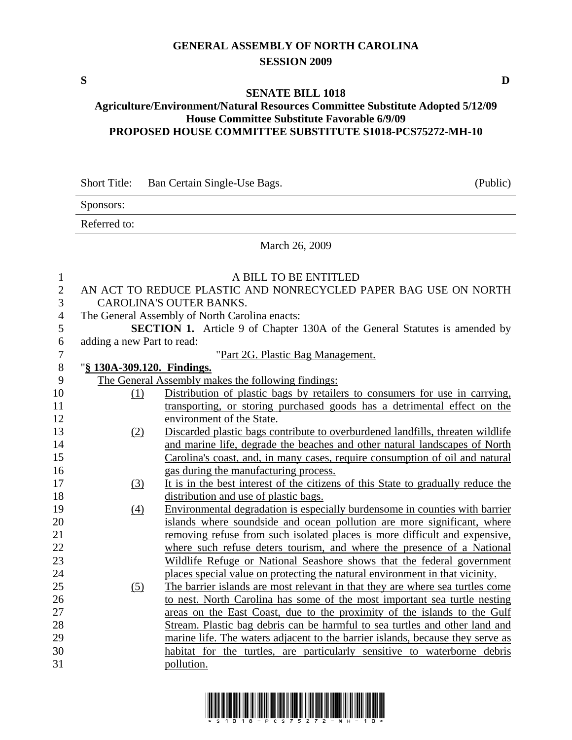## **GENERAL ASSEMBLY OF NORTH CAROLINA SESSION 2009**

## **SENATE BILL 1018**

## **Agriculture/Environment/Natural Resources Committee Substitute Adopted 5/12/09 House Committee Substitute Favorable 6/9/09 PROPOSED HOUSE COMMITTEE SUBSTITUTE S1018-PCS75272-MH-10**

Sponsors: Referred to: March 26, 2009 1 A BILL TO BE ENTITLED 2 AN ACT TO REDUCE PLASTIC AND NONRECYCLED PAPER BAG USE ON NORTH 3 CAROLINA'S OUTER BANKS. 4 The General Assembly of North Carolina enacts: 5 **SECTION 1.** Article 9 of Chapter 130A of the General Statutes is amended by 6 adding a new Part to read: 7 "Part 2G. Plastic Bag Management. 8 "**§ 130A-309.120. Findings.** 9 The General Assembly makes the following findings: 10 (1) Distribution of plastic bags by retailers to consumers for use in carrying, 11 transporting, or storing purchased goods has a detrimental effect on the 12 environment of the State. 13 (2) Discarded plastic bags contribute to overburdened landfills, threaten wildlife 14 and marine life, degrade the beaches and other natural landscapes of North 15 Carolina's coast, and, in many cases, require consumption of oil and natural 16 gas during the manufacturing process. 17 (3) It is in the best interest of the citizens of this State to gradually reduce the 18 distribution and use of plastic bags. 19 (4) Environmental degradation is especially burdensome in counties with barrier 20 islands where soundside and ocean pollution are more significant, where 21 removing refuse from such isolated places is more difficult and expensive, 22 where such refuse deters tourism, and where the presence of a National 23 Wildlife Refuge or National Seashore shows that the federal government 24 places special value on protecting the natural environment in that vicinity. 25 (5) The barrier islands are most relevant in that they are where sea turtles come 26 to nest. North Carolina has some of the most important sea turtle nesting 27 areas on the East Coast, due to the proximity of the islands to the Gulf 28 Stream. Plastic bag debris can be harmful to sea turtles and other land and 29 marine life. The waters adjacent to the barrier islands, because they serve as 30 habitat for the turtles, are particularly sensitive to waterborne debris 31 pollution.



Short Title: Ban Certain Single-Use Bags. (Public)

**S D**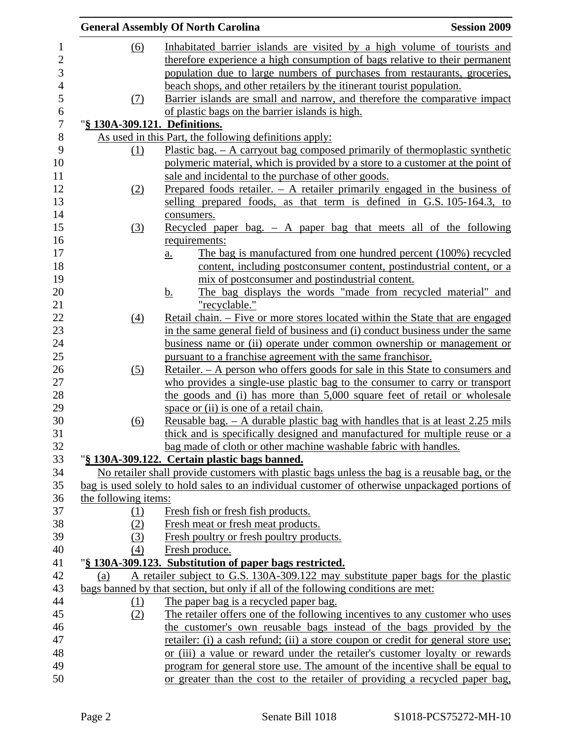|                               | <b>General Assembly Of North Carolina</b>                                                      | <b>Session 2009</b> |
|-------------------------------|------------------------------------------------------------------------------------------------|---------------------|
| <u>(6)</u>                    | Inhabitated barrier islands are visited by a high volume of tourists and                       |                     |
|                               | therefore experience a high consumption of bags relative to their permanent                    |                     |
|                               | population due to large numbers of purchases from restaurants, groceries,                      |                     |
|                               | beach shops, and other retailers by the itinerant tourist population.                          |                     |
| (7)                           | Barrier islands are small and narrow, and therefore the comparative impact                     |                     |
|                               | of plastic bags on the barrier islands is high.                                                |                     |
| "§ 130A-309.121. Definitions. |                                                                                                |                     |
|                               | As used in this Part, the following definitions apply:                                         |                     |
| (1)                           | Plastic bag. $-$ A carryout bag composed primarily of thermoplastic synthetic                  |                     |
|                               | polymeric material, which is provided by a store to a customer at the point of                 |                     |
|                               | sale and incidental to the purchase of other goods.                                            |                     |
| (2)                           | Prepared foods retailer. $-$ A retailer primarily engaged in the business of                   |                     |
|                               | selling prepared foods, as that term is defined in G.S. 105-164.3, to                          |                     |
|                               | consumers.                                                                                     |                     |
| (3)                           | Recycled paper bag. $-$ A paper bag that meets all of the following                            |                     |
|                               | requirements:                                                                                  |                     |
|                               | The bag is manufactured from one hundred percent (100%) recycled<br><u>a.</u>                  |                     |
|                               | content, including postconsumer content, postindustrial content, or a                          |                     |
|                               | mix of postconsumer and postindustrial content.                                                |                     |
|                               | The bag displays the words "made from recycled material" and<br><u>b.</u>                      |                     |
|                               | "recyclable."                                                                                  |                     |
| $\left(4\right)$              | Retail chain. – Five or more stores located within the State that are engaged                  |                     |
|                               | in the same general field of business and (i) conduct business under the same                  |                     |
|                               | business name or (ii) operate under common ownership or management or                          |                     |
|                               | pursuant to a franchise agreement with the same franchisor.                                    |                     |
| (5)                           | Retailer. – A person who offers goods for sale in this State to consumers and                  |                     |
|                               | who provides a single-use plastic bag to the consumer to carry or transport                    |                     |
|                               | the goods and (i) has more than 5,000 square feet of retail or wholesale                       |                     |
|                               | space or (ii) is one of a retail chain.                                                        |                     |
| (6)                           | <u>Reusable bag. – A durable plastic bag with handles that is at least 2.25 mils</u>           |                     |
|                               | thick and is specifically designed and manufactured for multiple reuse or a                    |                     |
|                               | bag made of cloth or other machine washable fabric with handles.                               |                     |
|                               | "§ 130A-309.122. Certain plastic bags banned.                                                  |                     |
|                               | No retailer shall provide customers with plastic bags unless the bag is a reusable bag, or the |                     |
|                               | bag is used solely to hold sales to an individual customer of otherwise unpackaged portions of |                     |
| the following items:          |                                                                                                |                     |
| <u>(1)</u>                    | Fresh fish or fresh fish products.                                                             |                     |
| (2)                           | Fresh meat or fresh meat products.                                                             |                     |
| (3)                           | Fresh poultry or fresh poultry products.                                                       |                     |
| (4)                           | Fresh produce.                                                                                 |                     |
|                               | "§ 130A-309.123. Substitution of paper bags restricted.                                        |                     |
| (a)                           | A retailer subject to G.S. 130A-309.122 may substitute paper bags for the plastic              |                     |
|                               | bags banned by that section, but only if all of the following conditions are met:              |                     |
| (1)                           | The paper bag is a recycled paper bag.                                                         |                     |
| (2)                           | The retailer offers one of the following incentives to any customer who uses                   |                     |
|                               | the customer's own reusable bags instead of the bags provided by the                           |                     |
|                               | retailer: (i) a cash refund; (ii) a store coupon or credit for general store use;              |                     |
|                               | or (iii) a value or reward under the retailer's customer loyalty or rewards                    |                     |
|                               | program for general store use. The amount of the incentive shall be equal to                   |                     |
|                               | or greater than the cost to the retailer of providing a recycled paper bag,                    |                     |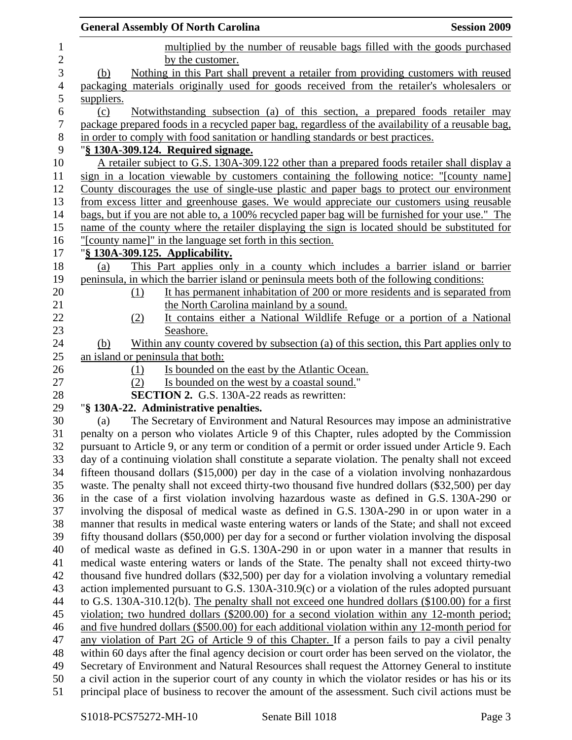|                  | <b>General Assembly Of North Carolina</b>                                                                                                                                                              | <b>Session 2009</b> |
|------------------|--------------------------------------------------------------------------------------------------------------------------------------------------------------------------------------------------------|---------------------|
| $\mathbf{1}$     | multiplied by the number of reusable bags filled with the goods purchased                                                                                                                              |                     |
| $\sqrt{2}$       | by the customer.                                                                                                                                                                                       |                     |
| 3                | Nothing in this Part shall prevent a retailer from providing customers with reused<br>(b)                                                                                                              |                     |
| 4                | packaging materials originally used for goods received from the retailer's wholesalers or                                                                                                              |                     |
| 5                | suppliers.                                                                                                                                                                                             |                     |
| 6                | Notwithstanding subsection (a) of this section, a prepared foods retailer may<br>(c)                                                                                                                   |                     |
| $\boldsymbol{7}$ | package prepared foods in a recycled paper bag, regardless of the availability of a reusable bag,                                                                                                      |                     |
| $8\,$            | in order to comply with food sanitation or handling standards or best practices.                                                                                                                       |                     |
| 9                | "§ 130A-309.124. Required signage.                                                                                                                                                                     |                     |
| 10               | A retailer subject to G.S. 130A-309.122 other than a prepared foods retailer shall display a                                                                                                           |                     |
| 11               | sign in a location viewable by customers containing the following notice: "[county name]                                                                                                               |                     |
| 12               | County discourages the use of single-use plastic and paper bags to protect our environment                                                                                                             |                     |
| 13               | from excess litter and greenhouse gases. We would appreciate our customers using reusable                                                                                                              |                     |
| 14               | bags, but if you are not able to, a 100% recycled paper bag will be furnished for your use." The                                                                                                       |                     |
| 15               | name of the county where the retailer displaying the sign is located should be substituted for                                                                                                         |                     |
| 16               | "[county name]" in the language set forth in this section.                                                                                                                                             |                     |
| 17               | "§ 130A-309.125. Applicability.                                                                                                                                                                        |                     |
| 18               | This Part applies only in a county which includes a barrier island or barrier<br>(a)                                                                                                                   |                     |
| 19               | peninsula, in which the barrier island or peninsula meets both of the following conditions:                                                                                                            |                     |
| 20               | It has permanent inhabitation of 200 or more residents and is separated from<br>(1)                                                                                                                    |                     |
| 21               | the North Carolina mainland by a sound.                                                                                                                                                                |                     |
| 22               | It contains either a National Wildlife Refuge or a portion of a National<br>(2)                                                                                                                        |                     |
| 23               | Seashore.                                                                                                                                                                                              |                     |
| 24               | Within any county covered by subsection (a) of this section, this Part applies only to<br>(b)                                                                                                          |                     |
| 25               | an island or peninsula that both:                                                                                                                                                                      |                     |
| 26               | Is bounded on the east by the Atlantic Ocean.<br>(1)                                                                                                                                                   |                     |
| 27               | Is bounded on the west by a coastal sound."<br>(2)                                                                                                                                                     |                     |
| 28               | <b>SECTION 2.</b> G.S. 130A-22 reads as rewritten:                                                                                                                                                     |                     |
| 29               | "§ 130A-22. Administrative penalties.                                                                                                                                                                  |                     |
| 30               | The Secretary of Environment and Natural Resources may impose an administrative<br>(a)                                                                                                                 |                     |
| 31<br>32         | penalty on a person who violates Article 9 of this Chapter, rules adopted by the Commission                                                                                                            |                     |
| 33               | pursuant to Article 9, or any term or condition of a permit or order issued under Article 9. Each<br>day of a continuing violation shall constitute a separate violation. The penalty shall not exceed |                     |
| 34               | fifteen thousand dollars $(\$15,000)$ per day in the case of a violation involving nonhazardous                                                                                                        |                     |
| 35               | waste. The penalty shall not exceed thirty-two thousand five hundred dollars (\$32,500) per day                                                                                                        |                     |
| 36               | in the case of a first violation involving hazardous waste as defined in G.S. 130A-290 or                                                                                                              |                     |
| 37               | involving the disposal of medical waste as defined in G.S. 130A-290 in or upon water in a                                                                                                              |                     |
| 38               | manner that results in medical waste entering waters or lands of the State; and shall not exceed                                                                                                       |                     |
| 39               | fifty thousand dollars (\$50,000) per day for a second or further violation involving the disposal                                                                                                     |                     |
| 40               | of medical waste as defined in G.S. 130A-290 in or upon water in a manner that results in                                                                                                              |                     |
| 41               | medical waste entering waters or lands of the State. The penalty shall not exceed thirty-two                                                                                                           |                     |
| 42               | thousand five hundred dollars (\$32,500) per day for a violation involving a voluntary remedial                                                                                                        |                     |
| 43               | action implemented pursuant to G.S. $130A-310.9(c)$ or a violation of the rules adopted pursuant                                                                                                       |                     |
| 44               | to G.S. 130A-310.12(b). The penalty shall not exceed one hundred dollars (\$100.00) for a first                                                                                                        |                     |
| 45               | violation; two hundred dollars (\$200.00) for a second violation within any 12-month period;                                                                                                           |                     |
| 46               | and five hundred dollars (\$500.00) for each additional violation within any 12-month period for                                                                                                       |                     |
| 47               | any violation of Part 2G of Article 9 of this Chapter. If a person fails to pay a civil penalty                                                                                                        |                     |
| 48               | within 60 days after the final agency decision or court order has been served on the violator, the                                                                                                     |                     |
| 49               | Secretary of Environment and Natural Resources shall request the Attorney General to institute                                                                                                         |                     |
| 50               | a civil action in the superior court of any county in which the violator resides or has his or its                                                                                                     |                     |
| 51               | principal place of business to recover the amount of the assessment. Such civil actions must be                                                                                                        |                     |